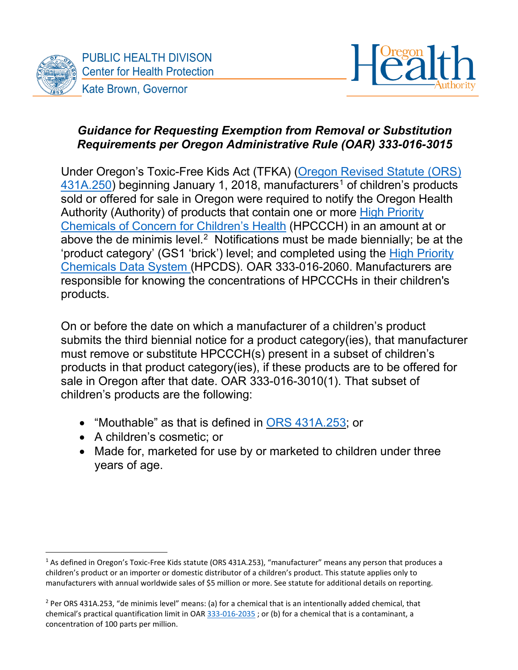



## *Guidance for Requesting Exemption from Removal or Substitution Requirements per Oregon Administrative Rule (OAR) 333-016-3015*

Under Oregon's Toxic-Free Kids Act (TFKA) [\(Oregon Revised Statute \(ORS\)](https://www.oregonlegislature.gov/bills_laws/ors/ors431a.html)  $431A.250$  $431A.250$  $431A.250$ ) beginning January 1, 2018, manufacturers<sup>1</sup> of children's products sold or offered for sale in Oregon were required to notify the Oregon Health Authority (Authority) of products that contain one or more [High Priority](https://secure.sos.state.or.us/oard/viewSingleRule.action?ruleVrsnRsn=276960)  [Chemicals of Concern for Children's Health](https://secure.sos.state.or.us/oard/viewSingleRule.action?ruleVrsnRsn=276960) (HPCCCH) in an amount at or above the de minimis level. $^2\,$  Notifications must be made biennially; be at the 'product category' (GS1 'brick') level; and completed using the [High Priority](http://theic2.org/hpcds#gsc.tab=0)  [Chemicals Data System](http://theic2.org/hpcds#gsc.tab=0) (HPCDS). OAR 333-016-2060. Manufacturers are responsible for knowing the concentrations of HPCCCHs in their children's products.

On or before the date on which a manufacturer of a children's product submits the third biennial notice for a product category(ies), that manufacturer must remove or substitute HPCCCH(s) present in a subset of children's products in that product category(ies), if these products are to be offered for sale in Oregon after that date. OAR 333-016-3010(1). That subset of children's products are the following:

- "Mouthable" as that is defined in ORS [431A.253;](https://www.oregonlegislature.gov/bills_laws/ors/ors431a.html) or
- A children's cosmetic; or
- Made for, marketed for use by or marketed to children under three years of age.

<span id="page-0-0"></span><sup>&</sup>lt;sup>1</sup> As defined in Oregon's Toxic-Free Kids statute (ORS 431A.253), "manufacturer" means any person that produces a children's product or an importer or domestic distributor of a children's product. This statute applies only to manufacturers with annual worldwide sales of \$5 million or more. See statute for additional details on reporting.

<span id="page-0-1"></span><sup>&</sup>lt;sup>2</sup> Per ORS 431A.253, "de minimis level" means: (a) for a chemical that is an intentionally added chemical, that chemical's practical quantification limit in OAR [333-016-2035](https://secure.sos.state.or.us/oard/viewSingleRule.action?ruleVrsnRsn=276962) ; or (b) for a chemical that is a contaminant, a concentration of 100 parts per million.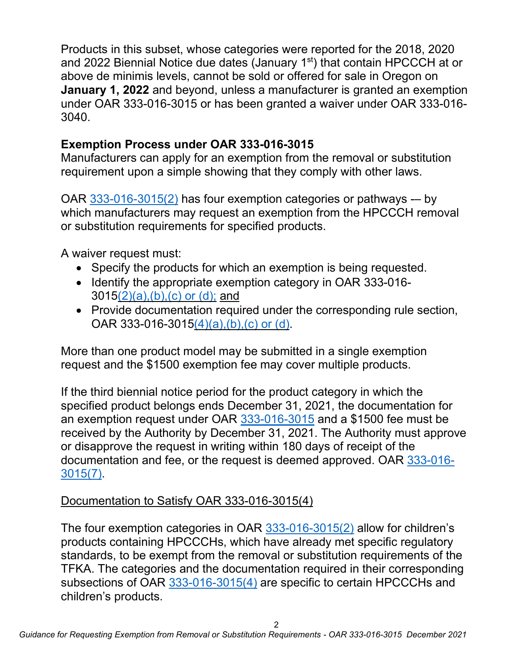Products in this subset, whose categories were reported for the 2018, 2020 and 2022 Biennial Notice due dates (January 1<sup>st</sup>) that contain HPCCCH at or above de minimis levels, cannot be sold or offered for sale in Oregon on **January 1, 2022** and beyond, unless a manufacturer is granted an exemption under OAR 333-016-3015 or has been granted a waiver under OAR 333-016- 3040.

## **Exemption Process under OAR 333-016-3015**

Manufacturers can apply for an exemption from the removal or substitution requirement upon a simple showing that they comply with other laws.

OAR [333-016-3015\(2\)](https://secure.sos.state.or.us/oard/viewSingleRule.action?ruleVrsnRsn=276971) has four exemption categories or pathways -- by which manufacturers may request an exemption from the HPCCCH removal or substitution requirements for specified products.

A waiver request must:

- Specify the products for which an exemption is being requested.
- Identify the appropriate exemption category in OAR 333-016- 301[5\(2\)\(a\),\(b\),\(c\)](https://secure.sos.state.or.us/oard/viewSingleRule.action?ruleVrsnRsn=276971) or (d); and
- Provide documentation required under the corresponding rule section, OAR 333-016-3015 $(4)(a)$ , $(b)$ , $(c)$  or  $(d)$ .

More than one product model may be submitted in a single exemption request and the \$1500 exemption fee may cover multiple products.

If the third biennial notice period for the product category in which the specified product belongs ends December 31, 2021, the documentation for an exemption request under OAR [333-016-3015](https://secure.sos.state.or.us/oard/viewSingleRule.action?ruleVrsnRsn=276971) and a \$1500 fee must be received by the Authority by December 31, 2021. The Authority must approve or disapprove the request in writing within 180 days of receipt of the documentation and fee, or the request is deemed approved. OAR [333-016-](https://secure.sos.state.or.us/oard/viewSingleRule.action?ruleVrsnRsn=276971) [3015\(7\).](https://secure.sos.state.or.us/oard/viewSingleRule.action?ruleVrsnRsn=276971)

## Documentation to Satisfy OAR 333-016-3015(4)

The four exemption categories in OAR [333-016-3015\(2\)](https://secure.sos.state.or.us/oard/viewSingleRule.action?ruleVrsnRsn=276971) allow for children's products containing HPCCCHs, which have already met specific regulatory standards, to be exempt from the removal or substitution requirements of the TFKA. The categories and the documentation required in their corresponding subsections of OAR [333-016-3015\(4\)](https://secure.sos.state.or.us/oard/viewSingleRule.action?ruleVrsnRsn=276971) are specific to certain HPCCCHs and children's products.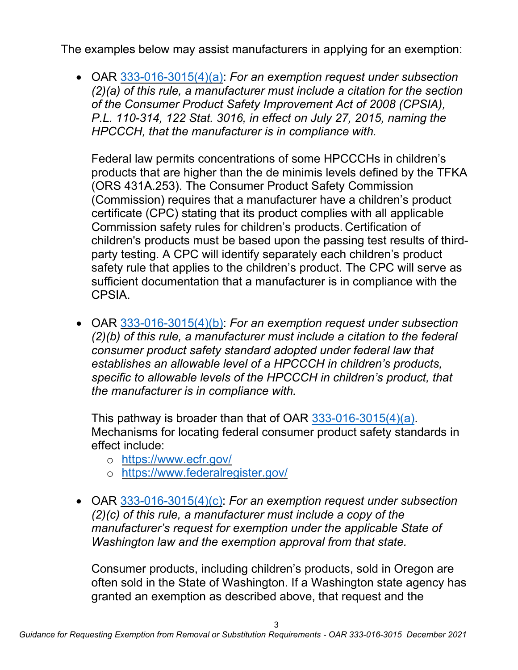The examples below may assist manufacturers in applying for an exemption:

• OAR [333-016-3015\(4\)\(a\):](https://secure.sos.state.or.us/oard/viewSingleRule.action?ruleVrsnRsn=276971) *For an exemption request under subsection (2)(a) of this rule, a manufacturer must include a citation for the section of the Consumer Product Safety Improvement Act of 2008 (CPSIA), P.L. 110-314, 122 Stat. 3016, in effect on July 27, 2015, naming the HPCCCH, that the manufacturer is in compliance with.*

Federal law permits concentrations of some HPCCCHs in children's products that are higher than the de minimis levels defined by the TFKA (ORS 431A.253). The Consumer Product Safety Commission (Commission) requires that a manufacturer have a children's product certificate (CPC) stating that its product complies with all applicable Commission safety rules for children's products. Certification of children's products must be based upon the passing test results of thirdparty testing. A CPC will identify separately each children's product safety rule that applies to the children's product. The CPC will serve as sufficient documentation that a manufacturer is in compliance with the CPSIA.

• OAR [333-016-3015\(4\)\(b\):](https://secure.sos.state.or.us/oard/viewSingleRule.action?ruleVrsnRsn=276971) *For an exemption request under subsection (2)(b) of this rule, a manufacturer must include a citation to the federal consumer product safety standard adopted under federal law that establishes an allowable level of a HPCCCH in children's products, specific to allowable levels of the HPCCCH in children's product, that the manufacturer is in compliance with.*

This pathway is broader than that of OAR [333-016-3015\(4\)\(a\).](https://secure.sos.state.or.us/oard/viewSingleRule.action?ruleVrsnRsn=276971) Mechanisms for locating federal consumer product safety standards in effect include:

- o <https://www.ecfr.gov/>
- o <https://www.federalregister.gov/>
- OAR [333-016-3015\(4\)\(c\):](https://secure.sos.state.or.us/oard/viewSingleRule.action?ruleVrsnRsn=276971) *For an exemption request under subsection (2)(c) of this rule, a manufacturer must include a copy of the manufacturer's request for exemption under the applicable State of Washington law and the exemption approval from that state.*

Consumer products, including children's products, sold in Oregon are often sold in the State of Washington. If a Washington state agency has granted an exemption as described above, that request and the